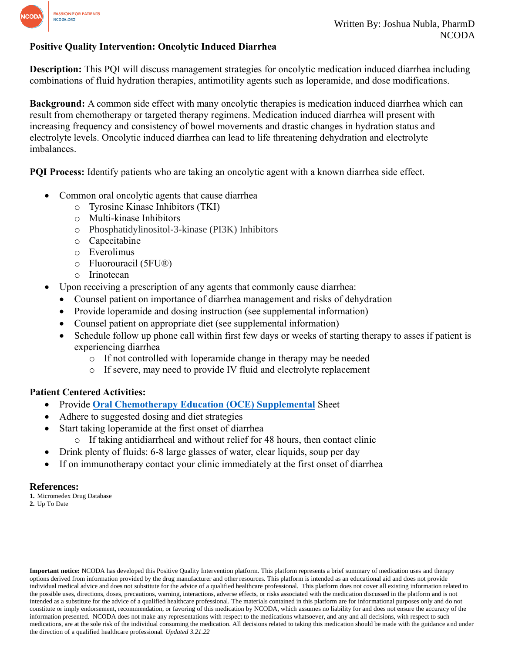

## **Positive Quality Intervention: Oncolytic Induced Diarrhea**

**Description:** This PQI will discuss management strategies for oncolytic medication induced diarrhea including combinations of fluid hydration therapies, antimotility agents such as loperamide, and dose modifications.

**Background:** A common side effect with many oncolytic therapies is medication induced diarrhea which can result from chemotherapy or targeted therapy regimens. Medication induced diarrhea will present with increasing frequency and consistency of bowel movements and drastic changes in hydration status and electrolyte levels. Oncolytic induced diarrhea can lead to life threatening dehydration and electrolyte imbalances.

**PQI Process:** Identify patients who are taking an oncolytic agent with a known diarrhea side effect.

- Common oral oncolytic agents that cause diarrhea
	- o Tyrosine Kinase Inhibitors (TKI)
	- o Multi-kinase Inhibitors
	- o Phosphatidylinositol-3-kinase (PI3K) Inhibitors
	- o Capecitabine
	- o Everolimus
	- o Fluorouracil (5FU®)
	- o Irinotecan
- Upon receiving a prescription of any agents that commonly cause diarrhea:
	- Counsel patient on importance of diarrhea management and risks of dehydration
	- Provide loperamide and dosing instruction (see supplemental information)
	- Counsel patient on appropriate diet (see supplemental information)
	- Schedule follow up phone call within first few days or weeks of starting therapy to asses if patient is experiencing diarrhea
		- o If not controlled with loperamide change in therapy may be needed
		- o If severe, may need to provide IV fluid and electrolyte replacement

### **Patient Centered Activities:**

- Provide **[Oral Chemotherapy Education \(OCE\) Supplemental](https://www.ncoda.org/wp-content/uploads/2021/03/diarrhea_supplemental.pdf)** Sheet
- Adhere to suggested dosing and diet strategies
- Start taking loperamide at the first onset of diarrhea
	- o If taking antidiarrheal and without relief for 48 hours, then contact clinic
- Drink plenty of fluids: 6-8 large glasses of water, clear liquids, soup per day
- If on immunotherapy contact your clinic immediately at the first onset of diarrhea

#### **References:**

**1.** Micromedex Drug Database **2.** Up To Date

**Important notice:** NCODA has developed this Positive Quality Intervention platform. This platform represents a brief summary of medication uses and therapy options derived from information provided by the drug manufacturer and other resources. This platform is intended as an educational aid and does not provide individual medical advice and does not substitute for the advice of a qualified healthcare professional. This platform does not cover all existing information related to the possible uses, directions, doses, precautions, warning, interactions, adverse effects, or risks associated with the medication discussed in the platform and is not intended as a substitute for the advice of a qualified healthcare professional. The materials contained in this platform are for informational purposes only and do not constitute or imply endorsement, recommendation, or favoring of this medication by NCODA, which assumes no liability for and does not ensure the accuracy of the information presented. NCODA does not make any representations with respect to the medications whatsoever, and any and all decisions, with respect to such medications, are at the sole risk of the individual consuming the medication. All decisions related to taking this medication should be made with the guidance and under the direction of a qualified healthcare professional. *Updated 3.21.22*